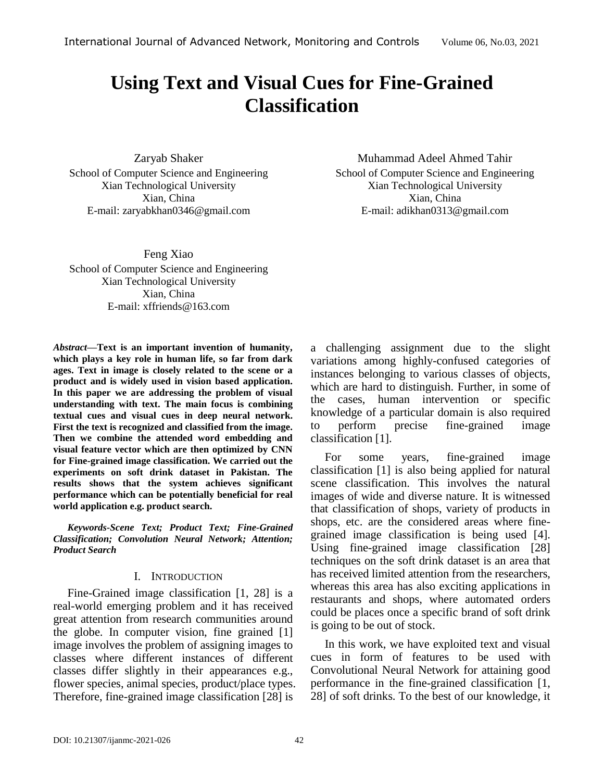# **Using Text and Visual Cues for Fine-Grained Classification**

Zaryab Shaker School of Computer Science and Engineering Xian Technological University Xian, China E-mail: [zaryabkhan0346@gmail.com](mailto:zaryabkhan0346@gmail.com)

Feng Xiao School of Computer Science and Engineering Xian Technological University Xian, China E-mail: [xffriends@163.com](mailto:xffriends@163.com)

*Abstract—***Text is an important invention of humanity, which plays a key role in human life, so far from dark ages. Text in image is closely related to the scene or a product and is widely used in vision based application. In this paper we are addressing the problem of visual understanding with text. The main focus is combining textual cues and visual cues in deep neural network. First the text is recognized and classified from the image. Then we combine the attended word embedding and visual feature vector which are then optimized by CNN for Fine-grained image classification. We carried out the experiments on soft drink dataset in Pakistan. The results shows that the system achieves significant performance which can be potentially beneficial for real world application e.g. product search.**

*Keywords-Scene Text; Product Text; Fine-Grained Classification; Convolution Neural Network; Attention; Product Search*

## I. INTRODUCTION

Fine-Grained image classification [1, 28] is a real-world emerging problem and it has received great attention from research communities around the globe. In computer vision, fine grained [1] image involves the problem of assigning images to classes where different instances of different classes differ slightly in their appearances e.g., flower species, animal species, product/place types. Therefore, fine-grained image classification [28] is

Muhammad Adeel Ahmed Tahir School of Computer Science and Engineering Xian Technological University Xian, China E-mail: [adikhan0313@gmail.com](Papers/adikhan0313@gmail.com)

a challenging assignment due to the slight variations among highly-confused categories of instances belonging to various classes of objects, which are hard to distinguish. Further, in some of the cases, human intervention or specific knowledge of a particular domain is also required to perform precise fine-grained image classification [1].

For some years, fine-grained image classification [1] is also being applied for natural scene classification. This involves the natural images of wide and diverse nature. It is witnessed that classification of shops, variety of products in shops, etc. are the considered areas where finegrained image classification is being used [4]. Using fine-grained image classification [28] techniques on the soft drink dataset is an area that has received limited attention from the researchers, whereas this area has also exciting applications in restaurants and shops, where automated orders could be places once a specific brand of soft drink is going to be out of stock.

In this work, we have exploited text and visual cues in form of features to be used with Convolutional Neural Network for attaining good performance in the fine-grained classification [1, 28] of soft drinks. To the best of our knowledge, it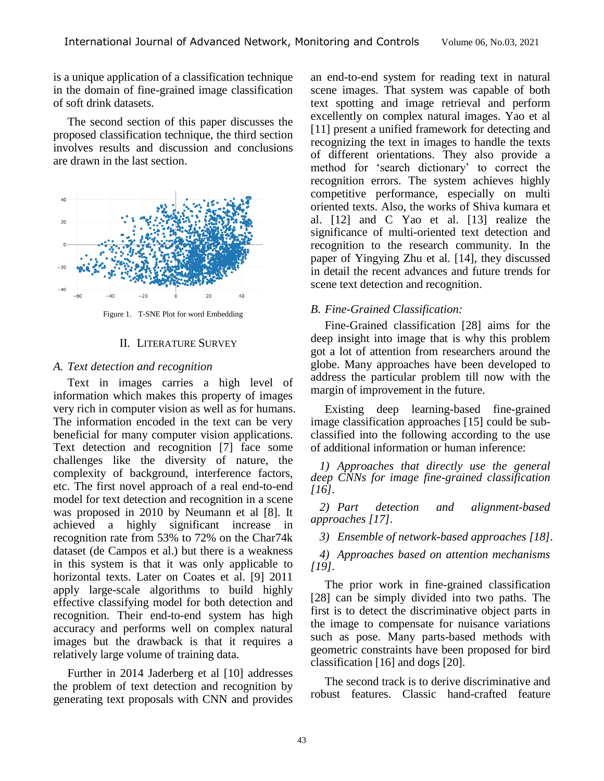is a unique application of a classification technique in the domain of fine-grained image classification of soft drink datasets.

The second section of this paper discusses the proposed classification technique, the third section involves results and discussion and conclusions are drawn in the last section.



Figure 1. T-SNE Plot for word Embedding

## II. LITERATURE SURVEY

## *A. Text detection and recognition*

Text in images carries a high level of information which makes this property of images very rich in computer vision as well as for humans. The information encoded in the text can be very beneficial for many computer vision applications. Text detection and recognition [7] face some challenges like the diversity of nature, the complexity of background, interference factors, etc. The first novel approach of a real end-to-end model for text detection and recognition in a scene was proposed in 2010 by Neumann et al [8]. It achieved a highly significant increase in recognition rate from 53% to 72% on the Char74k dataset (de Campos et al.) but there is a weakness in this system is that it was only applicable to horizontal texts. Later on Coates et al. [9] 2011 apply large-scale algorithms to build highly effective classifying model for both detection and recognition. Their end-to-end system has high accuracy and performs well on complex natural images but the drawback is that it requires a relatively large volume of training data.

Further in 2014 Jaderberg et al [10] addresses the problem of text detection and recognition by generating text proposals with CNN and provides an end-to-end system for reading text in natural scene images. That system was capable of both text spotting and image retrieval and perform excellently on complex natural images. Yao et al [11] present a unified framework for detecting and recognizing the text in images to handle the texts of different orientations. They also provide a method for 'search dictionary' to correct the recognition errors. The system achieves highly competitive performance, especially on multi oriented texts. Also, the works of Shiva kumara et al. [12] and C Yao et al. [13] realize the significance of multi-oriented text detection and recognition to the research community. In the paper of Yingying Zhu et al. [14], they discussed in detail the recent advances and future trends for scene text detection and recognition.

# *B. Fine-Grained Classification:*

Fine-Grained classification [28] aims for the deep insight into image that is why this problem got a lot of attention from researchers around the globe. Many approaches have been developed to address the particular problem till now with the margin of improvement in the future.

Existing deep learning-based fine-grained image classification approaches [15] could be subclassified into the following according to the use of additional information or human inference:

*1) Approaches that directly use the general deep CNNs for image fine-grained classification [16].*

*2) Part detection and alignment-based approaches [17].*

*3) Ensemble of network-based approaches [18].*

*4) Approaches based on attention mechanisms [19].* 

The prior work in fine-grained classification [28] can be simply divided into two paths. The first is to detect the discriminative object parts in the image to compensate for nuisance variations such as pose. Many parts-based methods with geometric constraints have been proposed for bird classification [16] and dogs [20].

The second track is to derive discriminative and robust features. Classic hand-crafted feature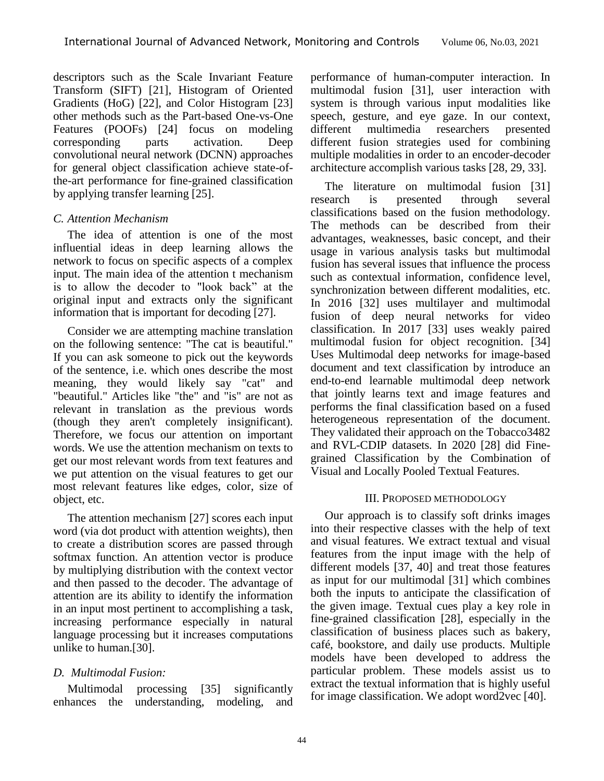descriptors such as the Scale Invariant Feature Transform (SIFT) [21], Histogram of Oriented Gradients (HoG) [22], and Color Histogram [23] other methods such as the Part-based One-vs-One Features (POOFs) [24] focus on modeling corresponding parts activation. Deep convolutional neural network (DCNN) approaches for general object classification achieve state-ofthe-art performance for fine-grained classification by applying transfer learning [25].

# *C. Attention Mechanism*

The idea of attention is one of the most influential ideas in deep learning allows the network to focus on specific aspects of a complex input. The main idea of the attention t mechanism is to allow the decoder to "look back" at the original input and extracts only the significant information that is important for decoding [27].

Consider we are attempting machine translation on the following sentence: "The cat is beautiful." If you can ask someone to pick out the keywords of the sentence, i.e. which ones describe the most meaning, they would likely say "cat" and "beautiful." Articles like "the" and "is" are not as relevant in translation as the previous words (though they aren't completely insignificant). Therefore, we focus our attention on important words. We use the attention mechanism on texts to get our most relevant words from text features and we put attention on the visual features to get our most relevant features like edges, color, size of object, etc.

The attention mechanism [27] scores each input word (via dot product with attention weights), then to create a distribution scores are passed through softmax function. An attention vector is produce by multiplying distribution with the context vector and then passed to the decoder. The advantage of attention are its ability to identify the information in an input most pertinent to accomplishing a task, increasing performance especially in natural language processing but it increases computations unlike to human.[30].

# *D. Multimodal Fusion:*

Multimodal processing [35] significantly enhances the understanding, modeling, and performance of human-computer interaction. In multimodal fusion [31], user interaction with system is through various input modalities like speech, gesture, and eye gaze. In our context, different multimedia researchers presented different fusion strategies used for combining multiple modalities in order to an encoder-decoder architecture accomplish various tasks [28, 29, 33].

The literature on multimodal fusion [31] research is presented through several classifications based on the fusion methodology. The methods can be described from their advantages, weaknesses, basic concept, and their usage in various analysis tasks but multimodal fusion has several issues that influence the process such as contextual information, confidence level, synchronization between different modalities, etc. In 2016 [32] uses [multilayer and](https://dl.acm.org/doi/abs/10.1145/2964284.2964297) multimodal fusion of [deep neural networks for video](https://dl.acm.org/doi/abs/10.1145/2964284.2964297) [classification.](https://dl.acm.org/doi/abs/10.1145/2964284.2964297) In 2017 [33] uses weakly paired multimodal fusion for object recognition. [34] Uses Multimodal deep networks for image-based document and text classification by introduce an end-to-end learnable multimodal deep network that jointly learns text and image features and performs the final classification based on a fused heterogeneous representation of the document. They validated their approach on the Tobacco3482 and RVL-CDIP datasets. In 2020 [28] did Finegrained Classification by the Combination of Visual and Locally Pooled Textual Features.

# III. PROPOSED METHODOLOGY

Our approach is to classify soft drinks images into their respective classes with the help of text and visual features. We extract textual and visual features from the input image with the help of different models [37, 40] and treat those features as input for our multimodal [31] which combines both the inputs to anticipate the classification of the given image. Textual cues play a key role in fine-grained classification [28], especially in the classification of business places such as bakery, café, bookstore, and daily use products. Multiple models have been developed to address the particular problem. These models assist us to extract the textual information that is highly useful for image classification. We adopt word2vec [40].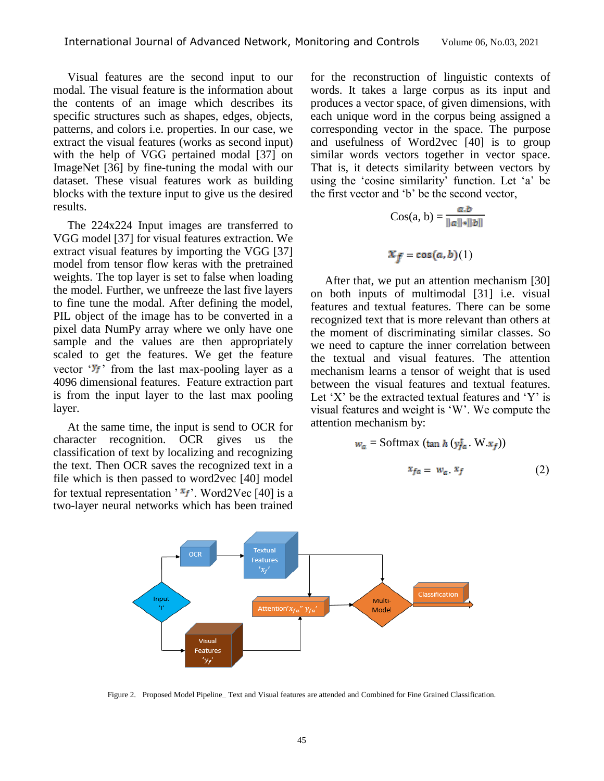Visual features are the second input to our modal. The visual feature is the information about the contents of an image which describes its specific structures such as shapes, edges, objects, patterns, and colors i.e. properties. In our case, we extract the visual features (works as second input) with the help of VGG pertained modal [37] on ImageNet [36] by fine-tuning the modal with our dataset. These visual features work as building blocks with the texture input to give us the desired results.

The 224x224 Input images are transferred to VGG model [37] for visual features extraction. We extract visual features by importing the VGG [37] model from tensor flow keras with the pretrained weights. The top layer is set to false when loading the model. Further, we unfreeze the last five layers to fine tune the modal. After defining the model, PIL object of the image has to be converted in a pixel data NumPy array where we only have one sample and the values are then appropriately scaled to get the features. We get the feature vector ' $y_f$ ' from the last max-pooling layer as a 4096 dimensional features. Feature extraction part is from the input layer to the last max pooling layer.

At the same time, the input is send to OCR for character recognition. OCR gives us the classification of text by localizing and recognizing the text. Then OCR saves the recognized text in a file which is then passed to word2vec [40] model for textual representation ' $x_f$ '. Word2Vec [40] is a two-layer neural networks which has been trained

for the reconstruction of linguistic contexts of words. It takes a large corpus as its input and produces a vector space, of given dimensions, with each unique word in the corpus being assigned a corresponding vector in the space. The purpose and usefulness of Word2vec [40] is to group similar words vectors together in vector space. That is, it detects similarity between vectors by using the 'cosine similarity' function. Let 'a' be the first vector and 'b' be the second vector,

$$
\text{Cos}(a, b) = \frac{a.b}{\|a\| \|b\|}
$$

$$
x_f = \cos(a, b)(1)
$$

After that, we put an attention mechanism [30] on both inputs of multimodal [31] i.e. visual features and textual features. There can be some recognized text that is more relevant than others at the moment of discriminating similar classes. So we need to capture the inner correlation between the textual and visual features. The attention mechanism learns a tensor of weight that is used between the visual features and textual features. Let  $'X'$  be the extracted textual features and  $'Y'$  is visual features and weight is 'W'. We compute the attention mechanism by:

$$
w_a = \text{Softmax} (\tan h \left( y_{fa}^t \cdot W.x_f \right))
$$

$$
x_{fa} = w_a \cdot x_f \tag{2}
$$



Figure 2. Proposed Model Pipeline\_ Text and Visual features are attended and Combined for Fine Grained Classification.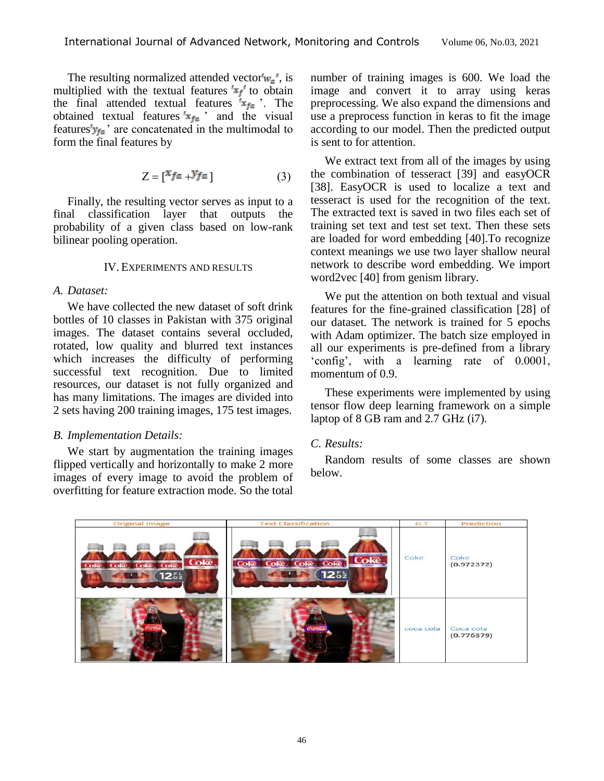The resulting normalized attended vector $w_a'$ , is multiplied with the textual features  $x_f$  to obtain the final attended textual features  $x_{fa}$ . The obtained textual features  $x_{fa}$  and the visual features' $y_{fa}$ ' are concatenated in the multimodal to form the final features by

$$
Z = \begin{bmatrix} x_{fa} + y_{fa} \end{bmatrix} \tag{3}
$$

Finally, the resulting vector serves as input to a final classification layer that outputs the probability of a given class based on low-rank bilinear pooling operation.

# IV. EXPERIMENTS AND RESULTS

# *A. Dataset:*

We have collected the new dataset of soft drink bottles of 10 classes in Pakistan with 375 original images. The dataset contains several occluded, rotated, low quality and blurred text instances which increases the difficulty of performing successful text recognition. Due to limited resources, our dataset is not fully organized and has many limitations. The images are divided into 2 sets having 200 training images, 175 test images.

## *B. Implementation Details:*

We start by augmentation the training images flipped vertically and horizontally to make 2 more images of every image to avoid the problem of overfitting for feature extraction mode. So the total

number of training images is 600. We load the image and convert it to array using keras preprocessing. We also expand the dimensions and use a preprocess function in keras to fit the image according to our model. Then the predicted output is sent to for attention.

We extract text from all of the images by using the combination of tesseract [39] and easyOCR [38]. EasyOCR is used to localize a text and tesseract is used for the recognition of the text. The extracted text is saved in two files each set of training set text and test set text. Then these sets are loaded for word embedding [40].To recognize context meanings we use two layer shallow neural network to describe word embedding. We import word2vec [40] from genism library.

We put the attention on both textual and visual features for the fine-grained classification [28] of our dataset. The network is trained for 5 epochs with Adam optimizer. The batch size employed in all our experiments is pre-defined from a library 'config', with a learning rate of 0.0001, momentum of 0.9.

These experiments were implemented by using tensor flow deep learning framework on a simple laptop of 8 GB ram and 2.7 GHz (i7).

# *C. Results:*

Random results of some classes are shown below.

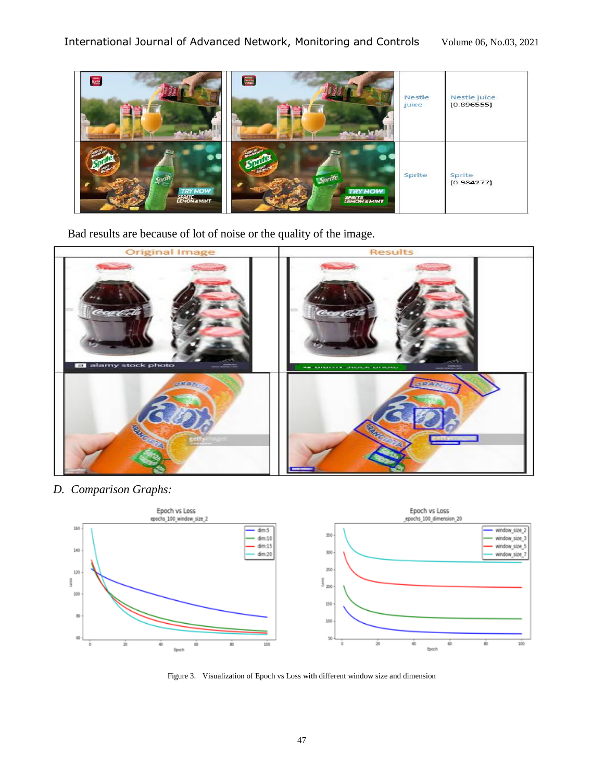

Bad results are because of lot of noise or the quality of the image.



*D. Comparison Graphs:*



Figure 3. Visualization of Epoch vs Loss with different window size and dimension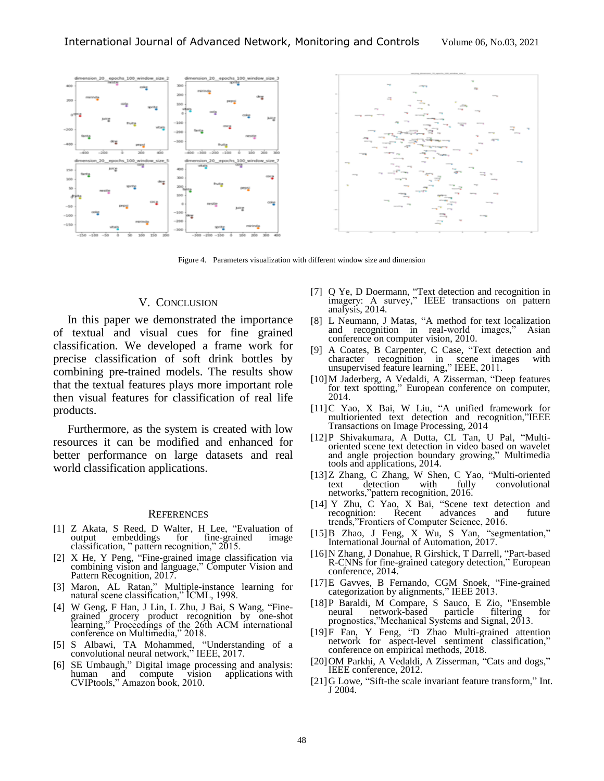

Figure 4. Parameters visualization with different window size and dimension

#### V. CONCLUSION

In this paper we demonstrated the importance of textual and visual cues for fine grained classification. We developed a frame work for precise classification of soft drink bottles by combining pre-trained models. The results show that the textual features plays more important role then visual features for classification of real life products.

Furthermore, as the system is created with low resources it can be modified and enhanced for better performance on large datasets and real world classification applications.

#### **REFERENCES**

- [1] [Z Akata,](https://scholar.google.com/citations?user=jQl9RtkAAAAJ&hl=en&oi=sra) S Reed, D Walter, H [Lee,](https://scholar.google.com/citations?user=fmSHtE8AAAAJ&hl=en&oi=sra) ["Evaluation of](http://openaccess.thecvf.com/content_cvpr_2015/html/Akata_Evaluation_of_Output_2015_CVPR_paper.html)  [output embeddings for](http://openaccess.thecvf.com/content_cvpr_2015/html/Akata_Evaluation_of_Output_2015_CVPR_paper.html) fine-grained image [classification,](http://openaccess.thecvf.com/content_cvpr_2015/html/Akata_Evaluation_of_Output_2015_CVPR_paper.html) " pattern recognition," 2015.
- [2] [X He,](https://scholar.google.com/citations?user=37RO0eYAAAAJ&hl=en&oi=sra) [Y Peng,](https://scholar.google.com/citations?user=mFsXPNYAAAAJ&hl=en&oi=sra) ["Fine-grained image classification](http://openaccess.thecvf.com/content_cvpr_2017/html/He_Fine-Grained_Image_Classification_CVPR_2017_paper.html) via [combining vision and language,"](http://openaccess.thecvf.com/content_cvpr_2017/html/He_Fine-Grained_Image_Classification_CVPR_2017_paper.html) Computer Vision and Pattern Recognition, 2017.
- [3] Maron, AL Ratan," Multiple-instance learning for natural scene classification," ICML, 1998.
- [4] W Geng, [F Han,](https://scholar.google.com/citations?user=3igxYUQAAAAJ&hl=en&oi=sra) [J Lin,](https://scholar.google.com/citations?user=JBWJM4AAAAAJ&hl=en&oi=sra) L Zhu, J Bai, [S Wang,](https://scholar.google.com/citations?user=a-guDhoAAAAJ&hl=en&oi=sra) "Finegrained grocery product recognition by one-shot learning," Proceedings of the 26th ACM international conference on Multimedia," 2018.
- [5] [S Albawi,](https://scholar.google.com/citations?user=ZZqp1dMAAAAJ&hl=en&oi=sra) TA Mohammed, ["Understanding of a](https://ieeexplore.ieee.org/abstract/document/8308186/) [convolutional neural network,](https://ieeexplore.ieee.org/abstract/document/8308186/)" IEEE, 2017.
- [6] [SE Umbaugh,](https://scholar.google.com/citations?user=TikjMmQAAAAJ&hl=en&oi=sra)" [Digital image processing and analysis:](https://books.google.com/books?hl=en&lr=&id=UQTMw5uoGHgC&oi=fnd&pg=PP1&dq=computer+vision+applications&ots=45uwE1wJK0&sig=QaQT1LU1kU8bgKuzo6eLntP7DHs)  human and [compute vision applications](https://books.google.com/books?hl=en&lr=&id=UQTMw5uoGHgC&oi=fnd&pg=PP1&dq=computer+vision+applications&ots=45uwE1wJK0&sig=QaQT1LU1kU8bgKuzo6eLntP7DHs) with [CVIPtools,](https://books.google.com/books?hl=en&lr=&id=UQTMw5uoGHgC&oi=fnd&pg=PP1&dq=computer+vision+applications&ots=45uwE1wJK0&sig=QaQT1LU1kU8bgKuzo6eLntP7DHs)" Amazon book, 2010.
- [7] [Q Ye,](https://scholar.google.com/citations?user=tjEfgsEAAAAJ&hl=en&oi=sra) [D Doermann,](https://scholar.google.com/citations?user=RoGOW9AAAAAJ&hl=en&oi=sra) "Text detection and recognition in imagery: A survey," IEEE transactions on pattern analysis, 2014.
- [8] L Neumann, [J Matas,](https://scholar.google.com/citations?user=EJCNY6QAAAAJ&hl=en&oi=sra) "A method for text localization and recognition in real-world images," Asian conference on computer vision, 2010.
- [9] [A Coates,](https://scholar.google.com/citations?user=bLUllHEAAAAJ&hl=en&oi=sra) B Carpenter, C Case, ["Text detection and](https://ieeexplore.ieee.org/abstract/document/6065350/)  [character recognition in scene images with](https://ieeexplore.ieee.org/abstract/document/6065350/)  unsupervised [feature learning,](https://ieeexplore.ieee.org/abstract/document/6065350/)" IEEE, 2011.
- [10]M Jaderberg, [A Vedaldi,](https://scholar.google.com/citations?user=bRT7t28AAAAJ&hl=en&oi=sra) [A Zisserman,](https://scholar.google.com/citations?user=UZ5wscMAAAAJ&hl=en&oi=sra) ["Deep features](https://link.springer.com/chapter/10.1007/978-3-319-10593-2_34)  for text [spotting,](https://link.springer.com/chapter/10.1007/978-3-319-10593-2_34)" European conference on computer, 2014.
- [11]C Yao, [X Bai,](https://scholar.google.com/citations?user=UeltiQ4AAAAJ&hl=en&oi=sra) [W Liu,](https://scholar.google.com/citations?user=D7jDk7gAAAAJ&hl=en&oi=sra) "A [unified framework](https://ieeexplore.ieee.org/abstract/document/6891290/) for [multioriented text](https://ieeexplore.ieee.org/abstract/document/6891290/) detection and recognition,"IEEE Transactions on Image Processing, 2014
- [12]P [Shivakumara,](https://scholar.google.com/citations?user=XfpbOc4AAAAJ&hl=en&oi=sra) [A Dutta,](https://scholar.google.com/citations?user=1aKTzmIAAAAJ&hl=en&oi=sra) [CL Tan,](https://scholar.google.com/citations?user=nmFSOaEAAAAJ&hl=en&oi=sra) [U Pal,](https://scholar.google.com/citations?user=2_z_CogAAAAJ&hl=en&oi=sra) "Multioriented scene text detection in video based on wavelet and angle projection boundary growing," Multimedia tools and applications, 2014.
- [13[\]Z Zhang,](https://scholar.google.com/citations?user=nZ_PVbsAAAAJ&hl=en&oi=sra) C Zhang, [W Shen,](https://scholar.google.com/citations?user=Ae2kRCEAAAAJ&hl=en&oi=sra) [C Yao,](https://scholar.google.com/citations?user=IpmnLFcAAAAJ&hl=en&oi=sra) ["Multi-oriented](http://openaccess.thecvf.com/content_cvpr_2016/html/Zhang_Multi-Oriented_Text_Detection_CVPR_2016_paper.html)  convolutional [networks,](http://openaccess.thecvf.com/content_cvpr_2016/html/Zhang_Multi-Oriented_Text_Detection_CVPR_2016_paper.html)"pattern recognition, 2016.
- [14] Y [Zhu,](https://scholar.google.com/citations?user=0kNKGhMAAAAJ&hl=en&oi=sra) [C Yao,](https://scholar.google.com/citations?user=IpmnLFcAAAAJ&hl=en&oi=sra) [X Bai,](https://scholar.google.com/citations?user=UeltiQ4AAAAJ&hl=en&oi=sra) "Scene text detection and recognition: trends,"Frontiers of Computer Science, 2016.
- [15[\]B Zhao,](https://scholar.google.com/citations?user=a8OCiUEAAAAJ&hl=en&oi=sra) [J Feng,](https://scholar.google.com/citations?user=Q8iay0gAAAAJ&hl=en&oi=sra) [X Wu,](https://scholar.google.com/citations?user=Yt70KEIAAAAJ&hl=en&oi=sra) [S Yan,](https://scholar.google.com/citations?user=DNuiPHwAAAAJ&hl=en&oi=sra) "segmentation," International Journal of Automation, 2017.
- [16[\]N Zhang,](https://scholar.google.com/citations?user=DplAah0AAAAJ&hl=en&oi=sra) [J Donahue,](https://scholar.google.com/citations?user=UfbuDH8AAAAJ&hl=en&oi=sra) [R Girshick,](https://scholar.google.com/citations?user=W8VIEZgAAAAJ&hl=en&oi=sra) [T Darrell,](https://scholar.google.com/citations?user=bh-uRFMAAAAJ&hl=en&oi=sra) ["Part-based](https://link.springer.com/chapter/10.1007/978-3-319-10590-1_54)  R-CNNs for fine-grained [category detection,](https://link.springer.com/chapter/10.1007/978-3-319-10590-1_54)" European conference, 2014.
- [17[\]E Gavves,](https://scholar.google.com/citations?user=QqfCvsgAAAAJ&hl=en&oi=sra) [B Fernando,](https://scholar.google.com/citations?user=GyvseMkAAAAJ&hl=en&oi=sra) [CGM Snoek,](https://scholar.google.com/citations?user=0uKdbscAAAAJ&hl=en&oi=sra) ["Fine-grained](http://openaccess.thecvf.com/content_iccv_2013/html/Gavves_Fine-Grained_Categorization_by_2013_ICCV_paper.html) [categorization by alignments,"](http://openaccess.thecvf.com/content_iccv_2013/html/Gavves_Fine-Grained_Categorization_by_2013_ICCV_paper.html) IEEE 2013.
- [18[\]P Baraldi,](https://scholar.google.com/citations?user=SPz44rQAAAAJ&hl=en&oi=sra) M Compare, S Sauco, [E Zio,](https://scholar.google.com/citations?user=HAHhUtkAAAAJ&hl=en&oi=sra) "Ensemble neural network-based particle filtering for prognostics,"Mechanical Systems and Signal, 2013.
- [19[\]F Fan,](https://scholar.google.com/citations?user=vHKArGUAAAAJ&hl=en&oi=sra) [Y Feng,](https://scholar.google.com/citations?user=67qAw_wAAAAJ&hl=en&oi=sra) ["D Zhao](https://scholar.google.com/citations?user=lhR8-68AAAAJ&hl=en&oi=sra) [Multi-grained attention](https://www.aclweb.org/anthology/D18-1380.pdf) [network for aspect-level sentiment classification,](https://www.aclweb.org/anthology/D18-1380.pdf)" conference on empirical methods, 2018.
- [20] OM [Parkhi,](https://scholar.google.com/citations?user=tiLf8UkAAAAJ&hl=en&oi=sra) [A Vedaldi,](https://scholar.google.com/citations?user=bRT7t28AAAAJ&hl=en&oi=sra) [A Zisserman,](https://scholar.google.com/citations?user=UZ5wscMAAAAJ&hl=en&oi=sra) ["Cats and](https://ieeexplore.ieee.org/abstract/document/6248092/) dogs," IEEE conference, 2012.
- [21]G Lowe, "Sift-the [scale invariant feature transform,"](https://pdfs.semanticscholar.org/19d1/c9a4546d840269ef534f6c1c8e3798ce81ac.pdf) Int. J 2004.